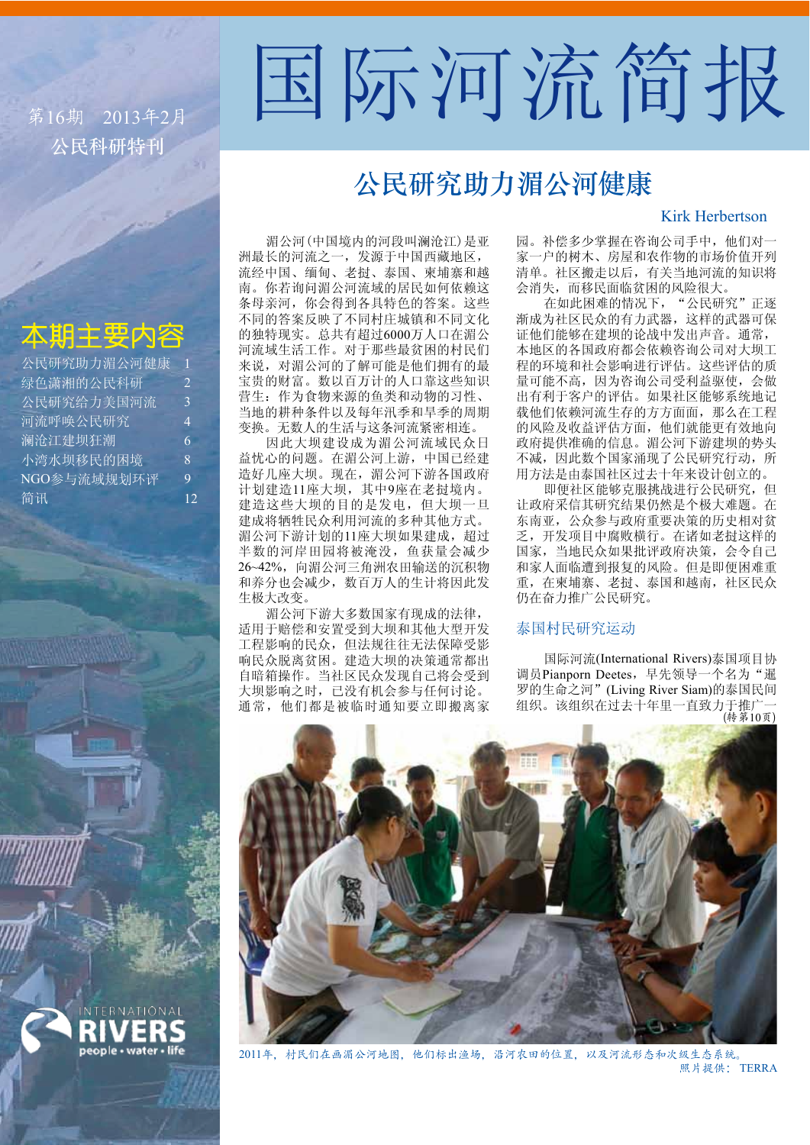公民科研特刊 第16期 2013年2月

# 国际河流简报

# 公民研究助力湄公河健康

# Kirk Herbertson

# 太期主要内容

| 公民研究助力湄公河健康 | 1             |
|-------------|---------------|
| 绿色潇湘的公民科研   | $\mathcal{L}$ |
| 公民研究给力美国河流  | 3             |
| 河流呼唤公民研究    | 4             |
| 澜沧江建坝狂潮     | 6             |
| 小湾水坝移民的困境   | 8             |
| NGO参与流域规划环评 | 9             |
| 简讯          | 12            |

湄公河(中国境内的河段叫澜沧江)是亚 洲最长的河流之一, 发源于中国西藏地区, 流经中国、缅甸、老挝、泰国、柬埔寨和越 南。你若询问湄公河流域的居民如何依赖这 条母亲河, 你会得到各具特色的答案。这些 不同的答案反映了不同村庄城镇和不同文化 的独特现实。总共有超过6000万人口在湄公 河流域生活工作。对于那些最贫困的村民们 来说, 对湄公河的了解可能是他们拥有的最 宝贵的财富。数以百万计的人口靠这些知识 营生: 作为食物来源的鱼类和动物的习性、 当地的耕种条件以及每年汛季和旱季的周期 变换。无数人的生活与这条河流紧密相连。

因此大坝建设成为湄公河流域民众日 益忧心的问题。在湄公河上游,中国已经建 造好几座大坝。现在,湄公河下游各国政府 计划建造11座大坝,其中9座在老挝境内。 建造这些大坝的目的是发电,但大坝一旦 ○□。<br>建成将牺牲民众利用河流的多种其他方式。 湄公河下游计划的11座大坝如果建成, 超过 半数的河岸田园将被淹没, 鱼获量会减少 26~42%, 向湄公河三角洲农田输送的沉积物 和养分也会减少, 数百万人的生计将因此发 生极大改变。

湄公河下游大多数国家有现成的法律, 适用于赔偿和安置受到大坝和其他大型开发 工程影响的民众, 但法规往往无法保障受影 响民众脱离贫困。建造大坝的决策通常都出 自暗箱操作。当社区民众发现自己将会受到 大坝影响之时, 已没有机会参与任何讨论。 通常, 他们都是被临时通知要立即搬离家 园。补偿多少掌握在咨询公司手中, 他们对一 家一户的树木、房屋和农作物的市场价值开列 清单。社区搬走以后,有关当地河流的知识将 会消失,而移民面临贫困的风险很大。

在如此困难的情况下, "公民研究"正逐 渐成为社区民众的有力武器, 这样的武器可保 证他们能够在建坝的论战中发出声音。通常, 本地区的各国政府都会依赖咨询公司对大坝工 程的环境和社会影响进行评估。这些评估的质 量可能不高, 因为咨询公司受利益驱使, 会做 出有利于客户的评估。如果社区能够系统地记 载他们依赖河流生存的方方面面, 那么在工程 的风险及收益评估方面, 他们就能更有效地向 政府提供准确的信息。湄公河下游建坝的势头 不减,因此数个国家涌现了公民研究行动,所 用方法是由泰国社区过去十年来设计创立的。

即便社区能够克服挑战进行公民研究, 但 让政府采信其研究结果仍然是个极大难题。在 东南亚, 公众参与政府重要决策的历史相对贫 乏, 开发项目中腐败横行。在诸如老挝这样的 国家, 当地民众如果批评政府决策, 会令自己 和家人面临遭到报复的风险。但是即便困难重 重, 在柬埔寨、老挝、泰国和越南, 社区民众 仍在奋力推广公民研究。

# 泰国村民研究运动

国际河流(International Rivers)泰国项目协 调员Pianporn Deetes, 早先领导一个名为"暹 罗的生命之河"(Living River Siam)的泰国民间 组织。该组织在过去十年里一直致力于推广 (转第10页)



2011年,村民们在画湄公河地图,他们标出渔场,沿河农田的位置,以及河流形态和次级生态系统。 照片提供: TERRA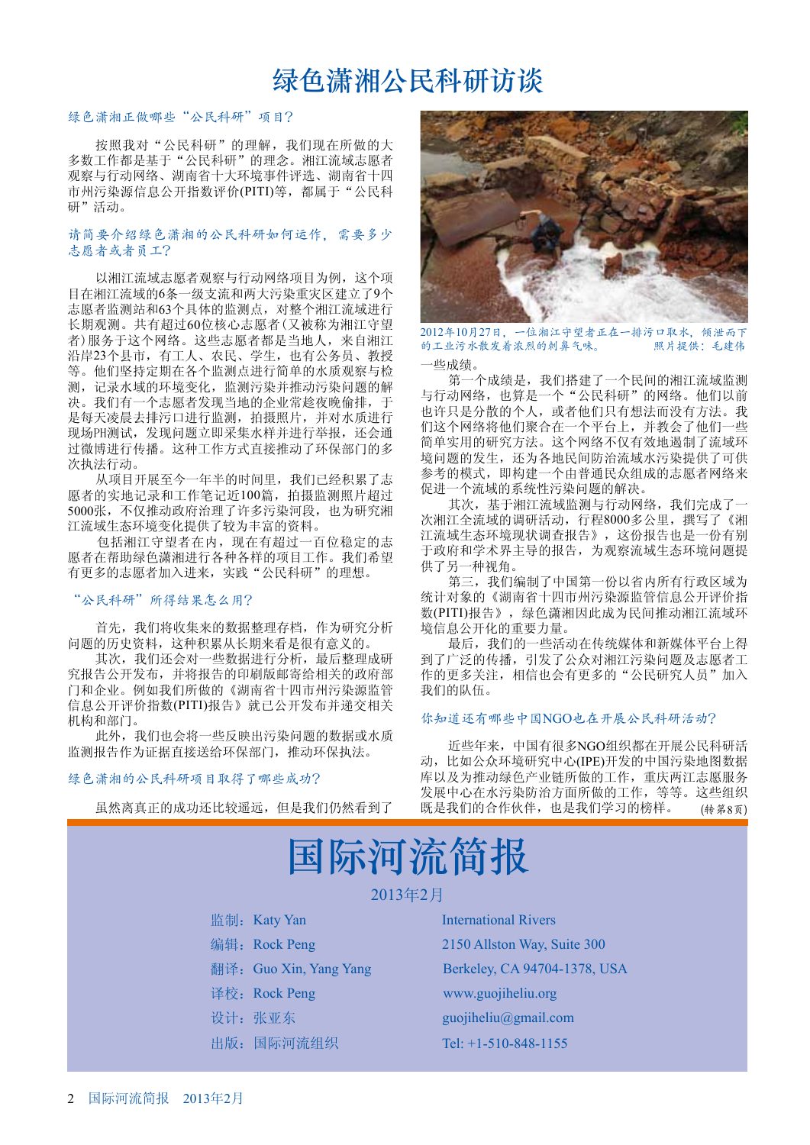# 绿色潇湘公民科研访谈

# 绿色潇湘正做哪些"公民科研"项目?

按照我对"公民科研"的理解,我们现在所做的大 多数工作都是基于"公民科研"的理念。湘江流域志愿者 观察与行动网络、湖南省十大环境事件评选、湖南省十四 市州污染源信息公开指数评价(PITI)等, 都属于"公民科 研"活动。

# 请简要介绍绿色潇湘的公民科研如何运作,需要多少 志愿者或者员工?

以湘江流域志愿者观察与行动网络项目为例, 这个项 目在湘江流域的6条一级支流和两大污染重灾区建立了9个 志愿者监测站和63个具体的监测点, 对整个湘江流域进行 长期观测。共有超过60位核心志愿者(又被称为湘江守望 者)服务于这个网络。这些志愿者都是当地人,来自湘江 沿岸23个县市, 有工人、农民、学生, 也有公务员、教授 等。他们坚持定期在各个监测点进行简单的水质观察与检 测, 记录水域的环境变化, 监测污染并推动污染问题的解 决。我们有一个志愿者发现当地的企业常趁夜晚偷排,于 是每天凌晨去排污口进行监测, 拍摄照片, 并对水质进行 现场PH测试, 发现问题立即采集水样并进行举报, 还会通 过微博进行传播。这种工作方式直接推动了环保部门的多 次执法行动。

从项目开展至今一年半的时间里, 我们已经积累了志 愿者的实地记录和工作笔记近100篇, 拍摄监测照片超过 5000张, 不仅推动政府治理了许多污染河段, 也为研究湘 江流域生态环境变化提供了较为丰富的资料。

包括湘江守望者在内, 现在有超过一百位稳定的志 愿者在帮助绿色潇湘进行各种各样的项目工作。我们希望 有更多的志愿者加入进来,实践"公民科研"的理想。

# "公民科研"所得结果怎么用?

首先, 我们将收集来的数据整理存档, 作为研究分析 问题的历史资料, 这种积累从长期来看是很有意义的。

其次, 我们还会对一些数据进行分析, 最后整理成研 究报告公开发布,并将报告的印刷版邮寄给相关的政府部 门和企业。例如我们所做的《湖南省十四市州污染源监管 信息公开评价指数(PITI)报告》就已公开发布并递交相关 机构和部门。

此外, 我们也会将一些反映出污染问题的数据或水质 监测报告作为证据直接送给环保部门, 推动环保执法。

# 绿色潇湘的公民科研项目取得了哪些成功?

虽然离真正的成功还比较遥远, 但是我们仍然看到了



2012年10月27日,一位湘江守望者正在一排污口取水,倾泄而下 的工业污水散发着浓烈的刺鼻气味。 照片提供:毛建伟

·些成绩。

第一个成绩是, 我们搭建了一个民间的湘江流域监测 与行动网络, 也算是一个"公民科研"的网络。他们以前 г䆌াᰃߚᬷⱘϾҎˈ㗙ҪӀা᳝ᛇ⊩㗠≵᳝ᮍ⊩DŽ៥ 们这个网络将他们聚合在一个平台上, 并教会了他们一些 简单实用的研究方法。这个网络不仅有效地遏制了流域环 境问题的发生, 还为各地民间防治流域水污染提供了可供 参考的模式, 即构建一个由普通民众组成的志愿者网络来 促进一个流域的系统性污染问题的解决。

其次, 基于湘江流域监测与行动网络, 我们完成了-次湘江全流域的调研活动, 行程8000多公里, 撰写了《湘 江流域生态环境现状调查报告》,这份报告也是一份有别 于政府和学术界主导的报告, 为观察流域生态环境问题提 供了另一种视角。

第三, 我们编制了中国第一份以省内所有行政区域为 统计对象的《湖南省十四市州污染源监管信息公开评价指 数(PITI)报告》, 绿色潇湘因此成为民间推动湘江流域环 境信息公开化的重要力量。

最后, 我们的一些活动在传统媒体和新媒体平台上得 到了广泛的传播, 引发了公众对湘江污染问题及志愿者工 作的更多关注, 相信也会有更多的"公民研究人员"加入 我们的队伍。

### 你知道还有哪些中国NGO也在开展公民科研活动?

近些年来, 中国有很多NGO组织都在开展公民科研活 动, 比如公众环境研究中心(IPE)开发的中国污染地图数据 库以及为推动绿色产业链所做的工作, 重庆两江志愿服务 发展中心在水污染防治方面所做的工作, 等等。这些组织 既是我们的合作伙伴, 也是我们学习的榜样。 (转第8页)

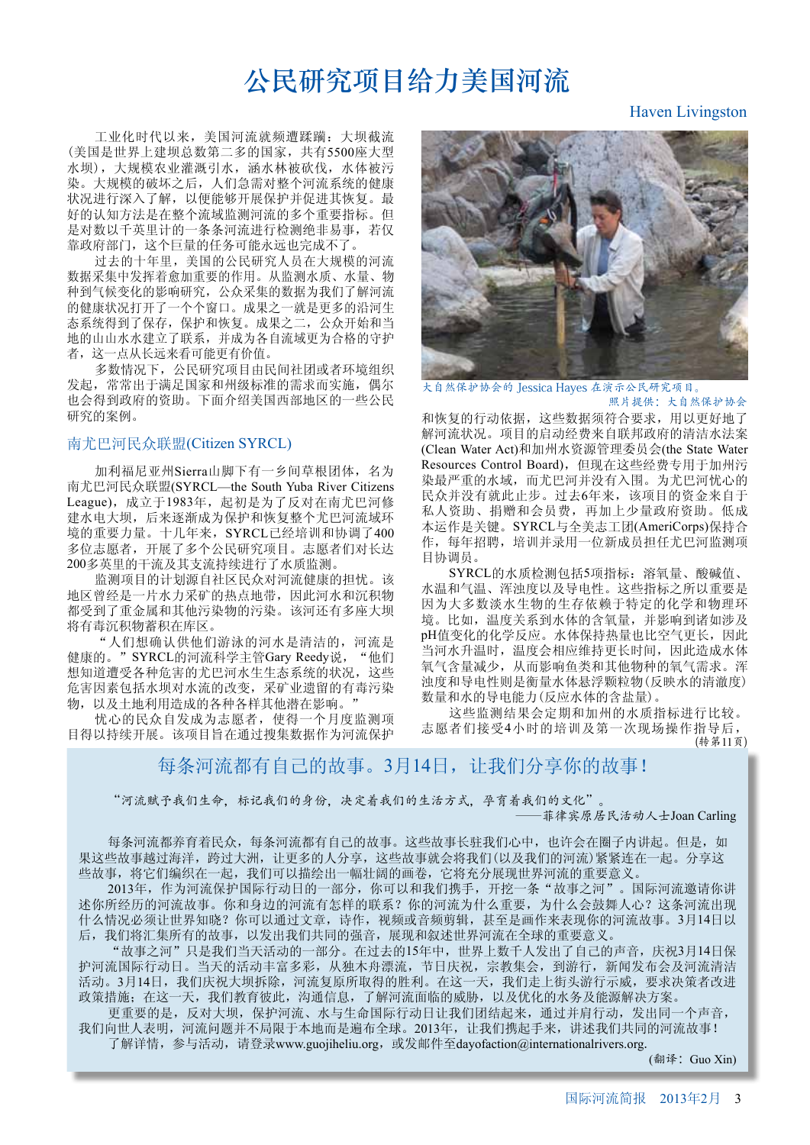# 公民研究项目给力美国河流

工业化时代以来, 美国河流就频遭蹂躏: 大坝截流 (美国是世界上建坝总数第二多的国家,共有5500座大型 水坝),大规模农业灌溉引水, 涵水林被砍伐, 水体被污 染。大规模的破坏之后,人们急需对整个河流系统的健康 状况进行深入了解,以便能够开展保护并促进其恢复。最 好的认知方法是在整个流域监测河流的多个重要指标。但 是对数以千英里计的一条条河流进行检测绝非易事,若仅 靠政府部门, 这个巨量的任务可能永远也完成不了。

过去的十年里,美国的公民研究人员在大规模的河流 数据采集中发挥着愈加重要的作用。从监测水质、水量、物 种到气候变化的影响研究,公众采集的数据为我们了解河流 的健康状况打开了一个个窗口。成果之一就是更多的沿河生 态系统得到了保存, 保护和恢复。成果之二, 公众开始和当 地的山山水水建立了联系,并成为各自流域更为合格的守护 者, 这一点从长远来看可能更有价值。

多数情况下, 公民研究项目由民间社团或者环境组织 发起, 常常出于满足国家和州级标准的需求而实施, 偶尔 也会得到政府的资助。下面介绍美国西部地区的一些公民 研究的案例。

# 南尤巴河民众联盟(Citizen SYRCL)

加利福尼亚州Sierra山脚下有一乡间草根团体, 名为 南尤巴河民众联盟(SYRCL—the South Yuba River Citizens League), 成立于1983年, 起初是为了反对在南尤巴河修 建水电大坝, 后来逐渐成为保护和恢复整个尤巴河流域环 境的重要力量。十几年来, SYRCL已经培训和协调了400 多位志愿者, 开展了多个公民研究项目。志愿者们对长达 200多英里的干流及其支流持续进行了水质监测。

监测项目的计划源自社区民众对河流健康的担忧。该 地区曾经是一片水力采矿的热点地带,因此河水和沉积物 都受到了重金属和其他污染物的污染。该河还有多座大坝 将有毒沉积物蓄积在库区。

"人们想确认供他们游泳的河水是清洁的, 河流是 健康的。"SYRCL的河流科学主管Gary Reedy说, "他们 想知道遭受各种危害的尤巴河水生生态系统的状况,这些 危害因素包括水坝对水流的改变, 采矿业遗留的有毒污染 物,以及土地利用造成的各种各样其他潜在影响。"

忧心的民众自发成为志愿者, 使得一个月度监测项 目得以持续开展。该项目旨在通过搜集数据作为河流保护



大自然保护协会的 Jessica Hayes 在演示公民研究项目。 照片提供:大自然保护协会

和恢复的行动依据,这些数据须符合要求,用以更好地了 解河流状况。项目的启动经费来自联邦政府的清洁水法案 (Clean Water Act)和加州水资源管理委员会(the State Water Resources Control Board), 但现在这些经费专用于加州污 染最严重的水域, 而尤巴河并没有入围。为尤巴河忧心的 民众并没有就此止步。过去6年来,该项目的资金来自于 私人资助、捐赠和会员费,再加上少量政府资助。低成 本运作是关键。SYRCL与全美志工团(AmeriCorps)保持合 作, 每年招聘, 培训并录用一位新成员担任尤巴河监测项 目协调员。

SYRCL的水质检测包括5项指标: 溶氧量、酸碱值、 水温和气温、浑浊度以及导电性。这些指标之所以重要是 因为大多数淡水生物的生存依赖于特定的化学和物理环 境。比如, 温度关系到水体的含氧量, 并影响到诸如涉及 pH值变化的化学反应。水体保持热量也比空气更长,因此 当河水升温时, 温度会相应维持更长时间, 因此造成水体 氧气含量减少, 从而影响鱼类和其他物种的氧气需求。浑 浊度和导电性则是衡量水体悬浮颗粒物(反映水的清澈度) 数量和水的导电能力(反应水体的含盐量)。

这些监测结果会定期和加州的水质指标进行比较。 志愿者们接受4小时的培训及第一次现场操作指导后, (转第11页)

每条河流都有自己的故事。3月14日, 让我们分享你的故事!

"河流赋予我们生命,标记我们的身份,决定着我们的生活方式,孕育着我们的文化"。

-菲律宾原居民活动人士Joan Carling

每条河流都养育着沃,每条河流都有自己的故事。这些故事长驻我们心中,也许会在圈子内讲起。但是,如 果这些故事越过海洋, 跨过大洲, 让更多的人分享, 这些故事就会将我们(以及我们的河流)紧紧连在一起。分享这 些故事,将它们编织在一起,我们可以描绘出一幅壮阔的画卷,它将充分展现世界河流的重要意义。

2013年, 作为河流保护国际行动日的一部分, 你可以和我们携手, 开挖一条"故事之河"。国际河流邀请你讲 达你所经历的河流故事。你和身边的河流有怎样的联系?你的河流为什么重要,为什么会鼓舞人心?这条河流出现 什么情况必须让世界知晓?你可以通过文章,诗作,视频或音频剪辑,甚至是画作来表现你的河流故事。3月14日以 后, 我们将汇集所有的故事, 以发出我们共同的强音, 展现和叙述世界河流在全球的重要意义。

"故事之河"只是我们当天活动的一部分。在过去的15年中,世界上数千人发出了自己的声音,庆祝3月14日保 护河流国际行动日。当天的活动丰富多彩,从独木舟漂流,节日庆祝,宗教集会,到游行,新闻发布会及河流清洁 活动。3月14日,我们庆祝大坝拆除,河流复原所取得的胜利。在这一天,我们走上街头游行示威,要求决策者改进 政策措施; 在这一天, 我们教育彼此, 沟通信息, 了解河流面临的威胁, 以及优化的水务及能源解决方案。

更重要的是,反对大坝,保护河流、水与生命国际行动日让我们团结起来,通过并肩行动,发出同一个声音, 我们向世人表明,河流问题并不局限于本地而是遍布全球。2013年,让我们携起手来,讲述我们共同的河流故事! 了解详情,参与活动,请登录www.guojiheliu.org, 或发邮件至dayofaction@internationalrivers.org.

(翻译: Guo Xin)

# Haven Livingston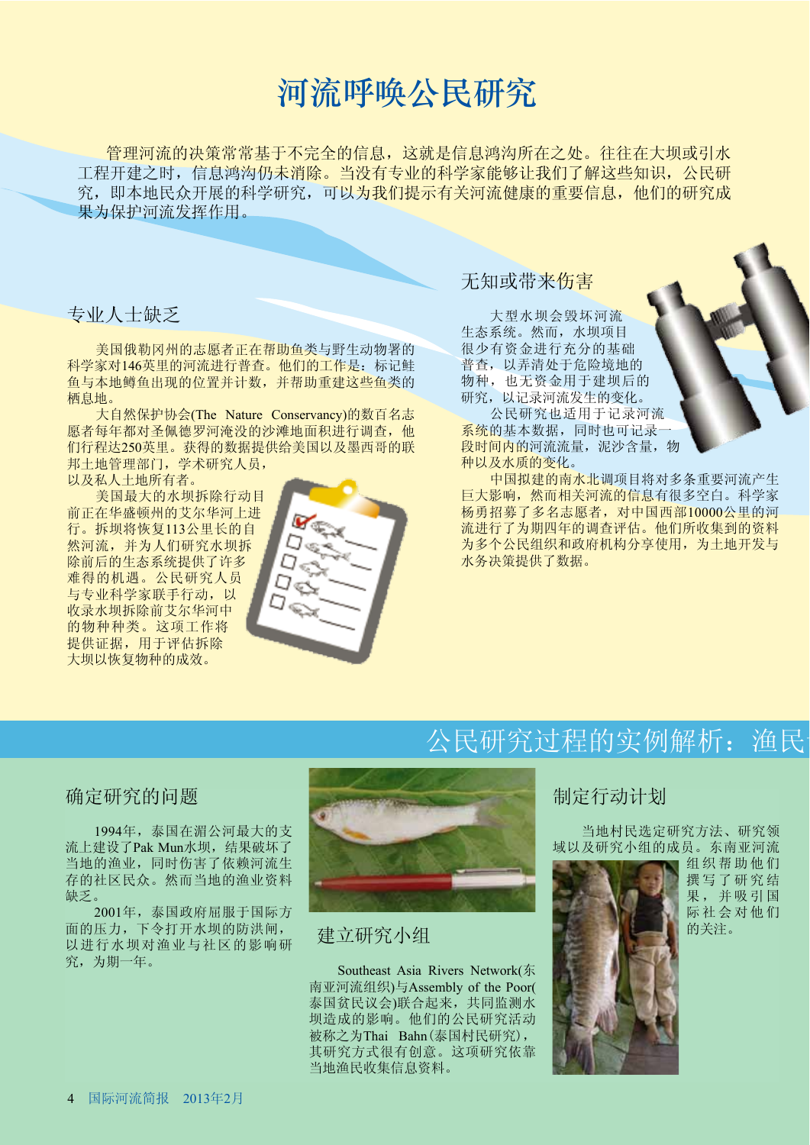# 河流呼唤公民研究

管理河流的决策常基于不完全的信息,这就是信息鸿沟所在之处。往往在大坝或引水 工程开建之时, 信息鸿沟仍未消除。当没有专业的科学家能够让我们了解这些知识, 公民研 究, 即本地民众开展的科学研究, 可以为我们提示有关河流健康的重要信息, 他们的研究成 果为保护河流发挥作用。

# 专业人士缺乏

美国俄勒冈州的志愿者正在帮助鱼类与野生动物署的 科学家对146英里的河流进行普查。他们的工作是: 标记鲑 鱼与本地鳟鱼出现的位置并计数,并帮助重建这些鱼类的 栖息地。

大自然保护协会(The Nature Conservancy)的数百名志 愿者每年都对圣佩德罗河淹没的沙滩地面积进行调查,他 们行程达250英里。获得的数据提供给美国以及墨西哥的联 邦土地管理部门, 学术研究人员,

以及私人土地所有者。

美国最大的水坝拆除行动目 前正在华盛顿州的艾尔华河上进 行。拆坝将恢复113公里长的自 然河流,并为人们研究水坝拆 除前后的生态系统提供了许多 难得的机遇。公民研究人员 与专业科学家联手行动,以 收录水坝拆除前艾尔华河中 的物种种类。这项工作将 提供证据, 用于评估拆除 大坝以恢复物种的成效。



# 无知或带来伤害

大型水坝会毁坏河流 生态系统。然而,水坝项目 很少有资金进行充分的基础 普查, 以弄清处于危险境地的 物种, 也无资金用于建坝后的 研究, 以记录河流发生的变化。

公民研究也适用于记录河流 系统的基本数据,同时也可记录-段时间内的河流流量, 泥沙含量, 物 种以及水质的变化。

中国拟建的南水北调项目将对多条重要河流产生 巨大影响, 然而相关河流的信息有很多空白。科学家 杨勇招募了多名志愿者, 对中国西部10000公里的河 流进行了为期四年的调查评估。他们所收集到的资料 为多个公民组织和政府机构分享使用, 为土地开发与 水务决策提供了数据。

# 公民研究过程的实例解析: 渔民

# 确定研究的问题

1994年, 泰国在湄公河最大的支 流上建设了Pak Mun水坝, 结果破坏了 当地的渔业, 同时伤害了依赖河流生 存的社区民众。然而当地的渔业资料 缺乏。

2001年, 泰国政府屈服于国际方 面的压力,下令打开水坝的防洪闸, 以进行水坝对渔业与社区的影响研 究,为期一年。



# 建立研究小组

Southeast Asia Rivers Network(东 南亚河流组织)与Assembly of the Poor( 泰国贫民议会)联合起来,共同监测水 坝造成的影响。他们的公民研究活动 被称之为Thai Bahn(泰国村民研究), 其研究方式很有创意。这项研究依靠 当地渔民收集信息资料。

# 制定行动计划

当地村民选定研究方法、研究领 域以及研究小组的成员。东南亚河流



组织帮助他们 撰写了研究结 果,并吸引国 际社会对他们 的关注。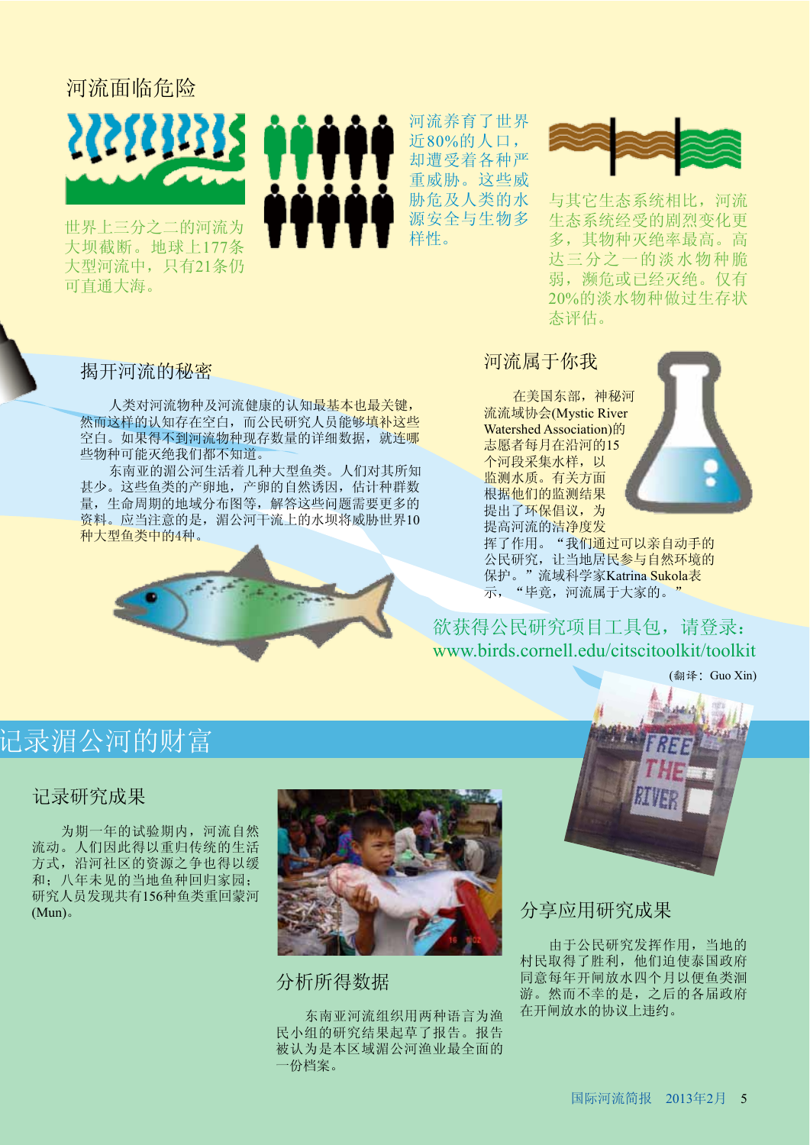# 河流面临危险



世界上三分之二的河流为 大坝截断。地球上177条 大型河流中,只有21条仍 可直通大海。



河流养育了世界 近80%的人口, 却遭受着各种严 重威胁。这些威 胁危及人类的水 源安全与生物多 样性。



与其它生态系统相比, 河流 生态系统经受的剧烈变化更 多,其物种灭绝率最高。高 达三分之一的淡水物种脆 弱, 濒危或已经灭绝。仅有 20%的淡水物种做过生存状 态评估。

# 揭开河流的秘密

人类对河流物种及河流健康的认知最基本也最关键, 然而这样的认知存在空白, 而公民研究人员能够填补这些 空白。如果得不到河流物种现存数量的详细数据, 就连哪 些物种可能灭绝我们都不知道。

东南亚的湄公河生活着几种大型鱼类。人们对其所知 甚少。这些鱼类的产卵地, 产卵的自然诱因, 估计种群数 量, 生命周期的地域分布图等, 解答这些问题需要更多的 资料。应当注意的是,湄公河干流上的水坝将威胁世界10 种大型鱼类中的4种。



# 河流属于你我

在美国东部, 神秘河 流流域协会(Mystic River Watershed Association)的 志愿者每月在沿河的15 个河段采集水样,以 监测水质。有关方面 根据他们的监测结果 提出了环保倡议,为 提高河流的洁净度发



挥了作用。"我们通过可以亲自动手的 公民研究,让当地居民参与自然环境的 保护。"流域科学家Katrina Sukola表 示, "毕竟, 河流属于大家的。"

# 欲获得公民研究项目工具包, 请登录: www.birds.cornell.edu/citscitoolkit/toolkit

(翻译: Guo Xin)

# 记录湄公河的财富

# 记录研究成果

为期一年的试验期内, 河流自然 流动。人们因此得以重归传统的生活 方式, 沿河社区的资源之争也得以缓

和: 八年未见的当地鱼种回归家园: 研究人员发现共有156种鱼类重回蒙河  $(Mun)$ 



分析所得数据

东南亚河流组织用两种语言为渔 民小组的研究结果起草了报告。报告 被认为是本区域湄公河渔业最全面的 一份档案。

分享应用研究成果

由于公民研究发挥作用, 当地的 村民取得了胜利, 他们迫使泰国政府 同意每年开闸放水四个月以便鱼类洄 游。然而不幸的是,之后的各届政府 在开闸放水的协议上违约。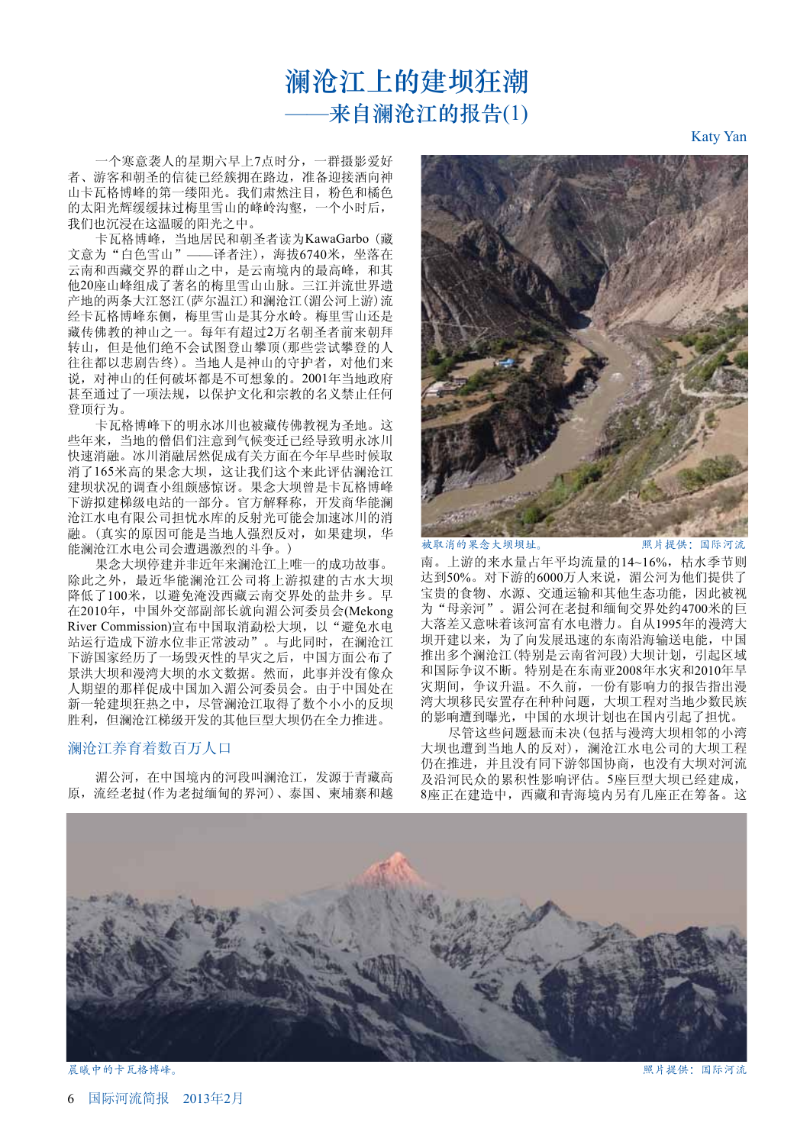# 澜沧江上的建坝狂潮 –来自澜沧江的报告(1)

一个寒意袭人的星期六早上7点时分, 一群摄影爱好 者、游客和朝圣的信徒已经簇拥在路边, 准备迎接洒向神 山卡瓦格博峰的第一缕阳光。我们肃然注目, 粉色和橘色 的太阳光辉缓缓抹过梅里雪山的峰岭沟壑, 一个小时后, 我们也沉浸在这温暖的阳光之中。

卡瓦格博峰, 当地居民和朝圣者读为KawaGarbo (藏 文意为"白色雪山" -- 译者注), 海拔6740米, 坐落在 云南和西藏交界的群山之中, 是云南境内的最高峰, 和其 他20座山峰组成了著名的梅里雪山山脉。三江并流世界遗 产地的两条大江怒江(萨尔温江)和澜沧江(湄公河上游)流 经卡瓦格博峰东侧, 梅里雪山是其分水岭。梅里雪山还是 藏传佛教的神山之一。每年有超过2万名朝圣者前来朝拜 转山,但是他们绝不会试图登山攀顶(那些尝试攀登的人 往往都以悲剧告终)。当地人是神山的守护者, 对他们来 说, 对神山的任何破坏都是不可想象的。2001年当地政府 甚至通过了一项法规,以保护文化和宗教的名义禁止任何 登顶行为。

卡瓦格博峰下的明永冰川也被藏传佛教视为圣地。这 些年来,当地的僧侣们注意到气候变迁已经导致明永冰川 快速消融。冰川消融居然促成有关方面在今年早些时候取 消了165米高的果念大坝,这让我们这个来此评估澜沧江 建坝状况的调查小组颇感惊讶。果念大坝曾是卡瓦格博峰 下游拟建梯级电站的一部分。官方解释称, 开发商华能澜 沧江水电有限公司担忧水库的反射光可能会加速冰川的消 融。(真实的原因可能是当地人强烈反对,如果建坝,华 能澜沧江水电公司会遭遇激烈的斗争。)

果念大坝停建并非近年来澜沧江上唯一的成功故事。 除此之外, 最近华能澜沧江公司将上游拟建的古水大坝 降低了100米, 以避免淹没西藏云南交界处的盐井乡。早 在2010年, 中国外交部副部长就向湄公河委员会(Mekong River Commission)宣布中国取消勐松大坝, 以"避免水电 站运行造成下游水位非正常波动"。与此同时, 在澜沧江 下游国家经历了一场毁灭性的旱灾之后,中国方面公布了 景洪大坝和漫湾大坝的水文数据。然而, 此事并没有像众 人期望的那样促成中国加入湄公河委员会。由于中国处在 新一轮建坝狂热之中,尽管澜沧江取得了数个小小的反坝 胜利,但澜沧江梯级开发的其他巨型大坝仍在全力推进。

## 澜沧江养育着数百万人口

湄公河, 在中国境内的河段叫澜沧江, 发源于青藏高 原, 流经老挝(作为老挝缅甸的界河)、泰国、柬埔寨和越



被取消的果念大坝坝址。 照片提供:国际河流

南。上游的来水量占年平均流量的14~16%, 枯水季节则 达到50%。对下游的6000万人来说,湄公河为他们提供了 宝贵的食物、水源、交通运输和其他生态功能,因此被视 为"母亲河"。湄公河在老挝和缅甸交界处约4700米的巨 大落差又意味着该河富有水电潜力。自从1995年的漫湾大 坝开建以来, 为了向发展迅速的东南沿海输送电能, 中国 推出多个澜沧江(特别是云南省河段)大坝计划,引起区域 和国际争议不断。特别是在东南亚2008年水灾和2010年旱 灾期间, 争议升温。不久前, 一份有影响力的报告指出漫 湾大坝移民安置存在种种问题,大坝工程对当地少数民族 的影响遭到曝光, 中国的水坝计划也在国内引起了担忧。

尽管这些问题悬而未决(包括与漫湾大坝相邻的小湾 大坝也遭到当地人的反对), 澜沧江水电公司的大坝工程 仍在推进, 并且没有同下游邻国协商, 也没有大坝对河流 及沿河民众的累积性影响评估。5座巨型大坝已经建成, 8座正在建造中, 西藏和青海境内另有几座正在筹备。这



6 国际河流简报 2013年2月

Katy Yan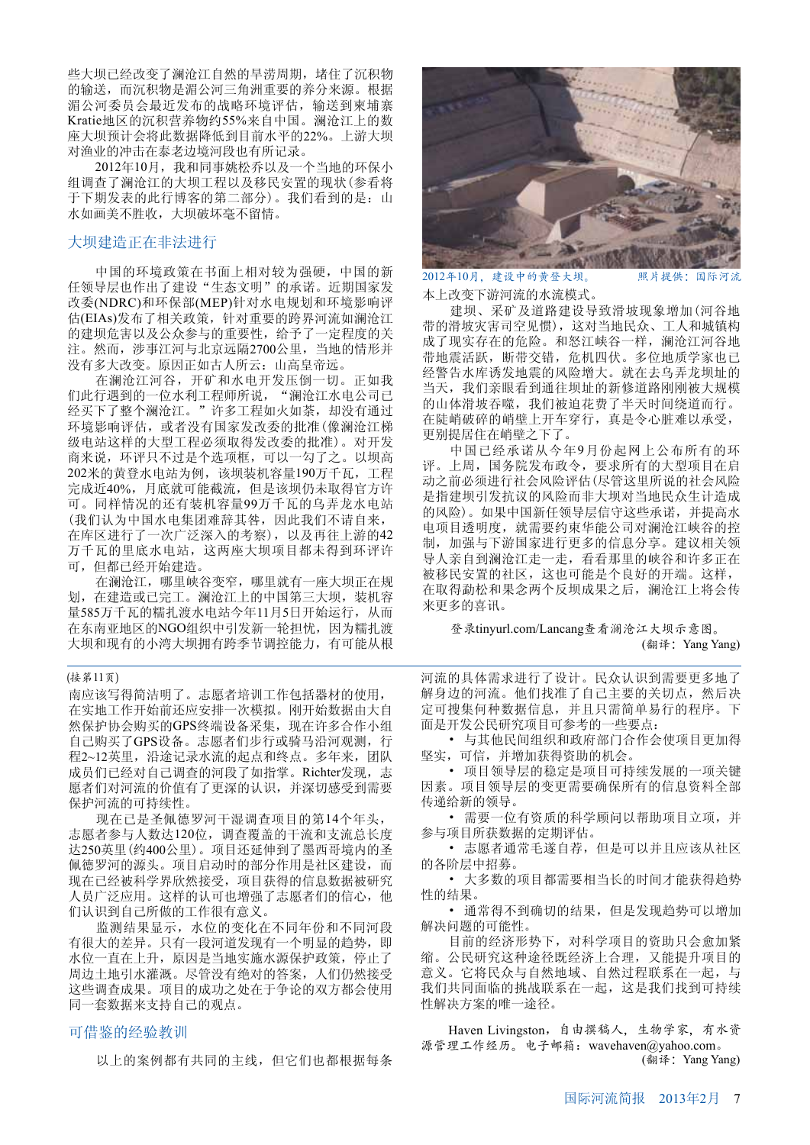些大坝已经改变了澜沧江自然的旱涝周期,堵住了沉积物 的输送,而沉积物是湄公河三角洲重要的养分来源。根据 湄公河委员会最近发布的战略环境评估, 输送到柬埔寨 Kratie地区的沉积营养物约55%来自中国。澜沧江上的数 座大坝预计会将此数据降低到目前水平的22%。上游大坝 对渔业的冲击在泰老边境河段也有所记录。

2012年10月, 我和同事姚松乔以及一个当地的环保小 组调查了澜沧江的大坝工程以及移民安置的现状(参看将 于下期发表的此行博客的第二部分)。我们看到的是: 山 水如画美不胜收, 大坝破坏毫不留情。

# 大坝建造正在非法进行

中国的环境政策在书面上相对较为强硬,中国的新 任领导层也作出了建设"生态文明"的承诺。近期国家发 改委(NDRC)和环保部(MEP)针对水电规划和环境影响评 估(EIAs)发布了相关政策, 针对重要的跨界河流如澜沧江 的建坝危害以及公众参与的重要性, 给予了一定程度的关 注。然而,涉事江河与北京远隔2700公里,当地的情形并 没有多大改变。原因正如古人所云: 山高皇帝远。

在澜沧江河谷, 开矿和水电开发压倒一切。正如我 们此行遇到的一位水利工程师所说, "澜沧江水电公司已 经买下了整个澜沧江。"许多工程如火如荼,却没有通过 环境影响评估, 或者没有国家发改委的批准(像澜沧江梯 级电站这样的大型工程必须取得发改委的批准)。对开发 商来说, 环评只不过是个选项框, 可以一勾了之。以坝高 202米的黄登水电站为例,该坝装机容量190万千瓦,工程 完成近40%, 月底就可能截流, 但是该坝仍未取得官方许 可。同样情况的还有装机容量99万千瓦的乌弄龙水电站 (我们认为中国水电集团难辞其咎,因此我们不请自来, 在库区进行了一次广泛深入的考察), 以及再往上游的42 万千瓦的里底水电站,这两座大坝项目都未得到环评许 可, 但都已经开始建造。

在澜沧江,哪里峡谷变窄,哪里就有一座大坝正在规 划, 在建造或已完工。澜沧江上的中国第三大坝, 装机容 量585万千瓦的糯扎渡水电站今年11月5日开始运行, 从而 在东南亚地区的NGO组织中引发新一轮担忧, 因为糯扎渡 大坝和现有的小湾大坝拥有跨季节调控能力, 有可能从根

### (接第11页)

南应该写得简洁明了。志愿者培训工作包括器材的使用, 在实地工作开始前还应安排一次模拟。刚开始数据由大自 然保护协会购买的GPS终端设备采集, 现在许多合作小组 自己购买了GPS设备。志愿者们步行或骑马沿河观测, 行 程2~12英里, 沿途记录水流的起点和终点。多年来, 团队 成员们已经对自己调查的河段了如指掌。Richter发现,志 愿者们对河流的价值有了更深的认识,并深切感受到需要 保护河流的可持续性。

现在已是圣佩德罗河干湿调查项目的第14个年头, 志愿者参与人数达120位,调查覆盖的干流和支流总长度 达250英里(约400公里)。项目还延伸到了墨西哥境内的圣 佩德罗河的源头。项目启动时的部分作用是社区建设,而 现在已经被科学界欣然接受, 项目获得的信息数据被研究 人员广泛应用。这样的认可也增强了志愿者们的信心,他 们认识到自己所做的工作很有意义。

监测结果显示, 水位的变化在不同年份和不同河段 有很大的差异。只有一段河道发现有一个明显的趋势, 即 水位一直在上升, 原因是当地实施水源保护政策, 停止了 周边土地引水灌溉。尽管没有绝对的答案, 人们仍然接受 这些调查成果。项目的成功之处在于争论的双方都会使用 同一套数据来支持自己的观点。

# 可借鉴的经验教训

以上的案例都有共同的主线,但它们也都根据每条



2012年10月,建设中的黄登大坝。 照片提供:国际河流

本上改变下游河流的水流模式。

建坝、采矿及道路建设导致滑坡现象增加(河谷地 带的滑坡灾害司空见惯), 这对当地民众、工人和城镇构 成了现实存在的危险。和怒江峡谷一样,澜沧江河谷地 带地震活跃, 断带交错, 危机四伏。多位地质学家也已 经警告水库诱发地震的风险增大。就在去乌弄龙坝址的 当天, 我们亲眼看到通往坝址的新修道路刚刚被大规模 的山体滑坡吞噬,我们被迫花费了半天时间绕道而行。 在陡峭破碎的峭壁上开车穿行, 真是令心脏难以承受, 更别提居住在峭壁之下了。

中国已经承诺从今年9月份起网上公布所有的环 评。上周, 国务院发布政令, 要求所有的大型项目在启 动之前必须进行社会风险评估(尽管这里所说的社会风险 是指建坝引发抗议的风险而非大坝对当地民众生计造成 的风险)。如果中国新任领导层信守这些承诺,并提高水 电项目透明度, 就需要约束华能公司对澜沧江峡谷的控 制, 加强与下游国家进行更多的信息分享。建议相关领 导人亲自到澜沧江走一走,看看那里的峡谷和许多正在 被移民安置的社区,这也可能是个良好的开端。这样, 在取得勐松和果念两个反坝成果之后, 澜沧江上将会传 来更多的喜讯。

登录tinyurl.com/Lancang查看澜沧江大坝示意图。 (翻译: Yang Yang)

河流的具体需求进行了设计。民众认识到需要更多地了 解身边的河流。他们找准了自己主要的关切点, 然后决 定可搜集何种数据信息,并且只需简单易行的程序。下 面是开发公民研究项目可参考的一些要点:

• 与其他民间组织和政府部门合作会使项目更加得 坚实,可信,并增加获得资助的机会。

• 项目领导层的稳定是项目可持续发展的一项关键 因素。项目领导层的变更需要确保所有的信息资料全部 传说给新的领导。

• 需要一位有资质的科学顾问以帮助项目立项,并 参与项目所获数据的定期评估。

• 志愿者通常毛遂自荐,但是可以并且应该从社区 的各阶层中招募。

• 大多数的项目都需要相当长的时间才能获得趋势 性的结果。

• 通常得不到确切的结果, 但是发现趋势可以增加 解决问题的可能性。

目前的经济形势下, 对科学项目的资助只会愈加紧 缩。公民研究这种途径既经济上合理,又能提升项目的 意义。它将民众与自然地域、自然过程联系在一起, 与 我们共同面临的挑战联系在一起,这是我们找到可持续 性解决方案的唯一途径。

Haven Livingston, 自由撰稿人, 生物学家, 有水资 源管理工作经历。电子邮箱: wavehaven@yahoo.com。 (翻译: Yang Yang)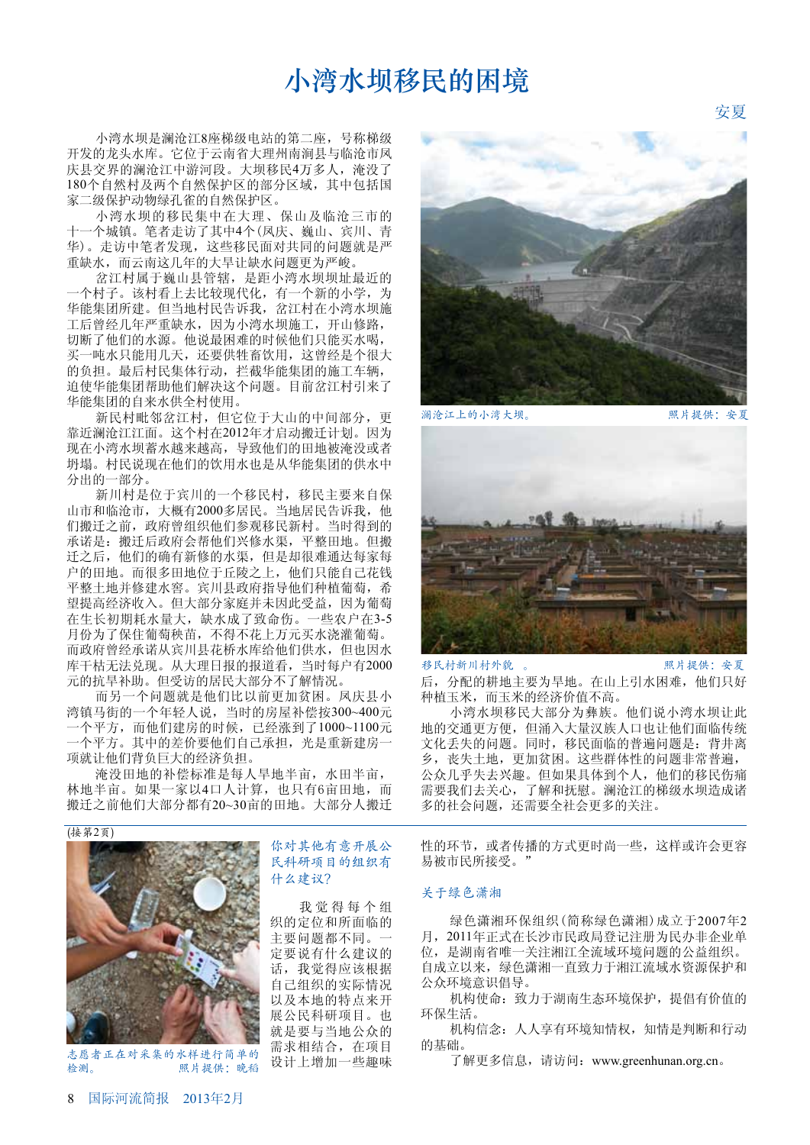# 小湾水坝移民的困境

小湾水坝是澜沧江8座梯级电站的第二座,号称梯级 开发的龙头水库。它位于云南省大理州南涧县与临沧市凤 庆县交界的澜沧江中游河段。大坝移民4万多人,淹没了 180个自然村及两个自然保护区的部分区域, 其中包括国 家二级保护动物绿孔雀的自然保护区。

小湾水坝的移民集中在大理、保山及临沧三市的 十一个城镇。笔者走访了其中4个(凤庆、巍山、宾川、青 华)。走访中笔者发现,这些移民面对共同的问题就是严 重缺水,而云南这几年的大旱让缺水问题更为严峻。

岔江村属于巍山具管辖, 是距小湾水坝坝址最近的 一个村子。该村看上去比较现代化,有一个新的小学,为 华能集团所建。但当地村民告诉我, 岔江村在小湾水坝施 工后曾经几年严重缺水,因为小湾水坝施工,开山修路, 切断了他们的水源。他说最困难的时候他们只能买水喝, 买一吨水只能用几天, 还要供牲畜饮用, 这曾经是个很大 的负担。最后村民集体行动, 拦截华能集团的施工车辆, 迫使华能集团帮助他们解决这个问题。目前岔江村引来了 华能集团的自来水供全村使用。

新民村毗邻岔江村,但它位于大山的中间部分,更 靠近澜沧江江面。这个村在2012年才启动搬迁计划。因为 现在小湾水坝蓄水越来越高, 导致他们的田地被淹没或者 坍塌。村民说现在他们的饮用水也是从华能集团的供水中 分出的一部分。

新川村是位于宾川的一个移民村, 移民主要来自保 山市和临沧市, 大概有2000多居民。当地居民告诉我, 他 们搬迁之前, 政府曾组织他们参观移民新村。当时得到的 承诺是: 搬迁后政府会帮他们兴修水渠, 平整田地。但搬 迁之后, 他们的确有新修的水渠, 但是却很难通达每家每 户的田地。而很多田地位于丘陵之上, 他们只能自己花钱 平整土地并修建水窖。宾川县政府指导他们种植葡萄, 希 望提高经济收入。但大部分家庭并未因此受益,因为葡萄 在生长初期耗水量大, 缺水成了致命伤。一些农户在3-5 月份为了保住葡萄秧苗,不得不花上万元买水浇灌葡萄。 而政府曾经承诺从宾川县花桥水库给他们供水,但也因水 库干枯无法兑现。从大理日报的报道看,当时每户有2000 元的抗旱补助。但受访的居民大部分不了解情况。

而另一个问题就是他们比以前更加贫困。凤庆县小 湾镇马街的一个年轻人说,当时的房屋补偿按300~400元 -个平方,而他们建房的时候,已经涨到了1000~1100元 一个平方。其中的差价要他们自己承担, 光是重新建房一 项就让他们背负巨大的经济负担。

淹没田地的补偿标准是每人旱地半亩, 水田半亩, 林地半亩。如果一家以4口人计算,也只有6亩田地,而 搬迁之前他们大部分都有20~30亩的田地。大部分人搬迁

(接第2页)



志愿者正在对采集的水样进行简单的 检测。 照片提供:晚稻

# 你对其他有意开展公 民科研项目的组织有 什么建议?

我觉得每个组 织的定位和所面临的 主要问题都不同。-定要说有什么建议的 话, 我觉得应该根据 自己组织的实际情况 以及本地的特点来开 展公民科研项目。也 就是要与当地公众的 需求相结合, 在项目 设计上增加一些趣味



澜沧江上的小湾大坝。 照片提供: 安夏

安夏



后, 分配的耕地主要为旱地。在山上引水困难, 他们只好 种植玉米,而玉米的经济价值不高。 移民村新川村外貌 。 照片提供: 安夏

小湾水坝移民大部分为彝族。他们说小湾水坝让此 地的交通更方便, 但涌入大量汉族人口也让他们面临传统 文化丢失的问题。同时, 移民面临的普遍问题是: 背井离 乡, 丧失土地, 更加贫困。这些群体性的问题非常普遍, 公众几乎失去兴趣。但如果具体到个人, 他们的移民伤痛 需要我们去关心,了解和抚慰。澜沧江的梯级水坝造成诸 多的社会问题,还需要全社会更多的关注。

性的环节, 或者传播的方式更时尚一些, 这样或许会更容 易被市民所接受。"

### 关于绿色潇湘

绿色潇湘环保组织(简称绿色潇湘)成立于2007年2 月, 2011年正式在长沙市民政局登记注册为民办非企业单 位, 是湖南省唯一关注湘江全流域环境问题的公益组织。 自成立以来, 绿色潇湘一直致力于湘江流域水资源保护和 公众环境意识倡导。

机构使命: 致力于湖南生态环境保护, 提倡有价值的 环保生活。

机构信念: 人人享有环境知情权, 知情是判断和行动 的基础。

了解更多信息, 请访问: www.greenhunan.org.cn。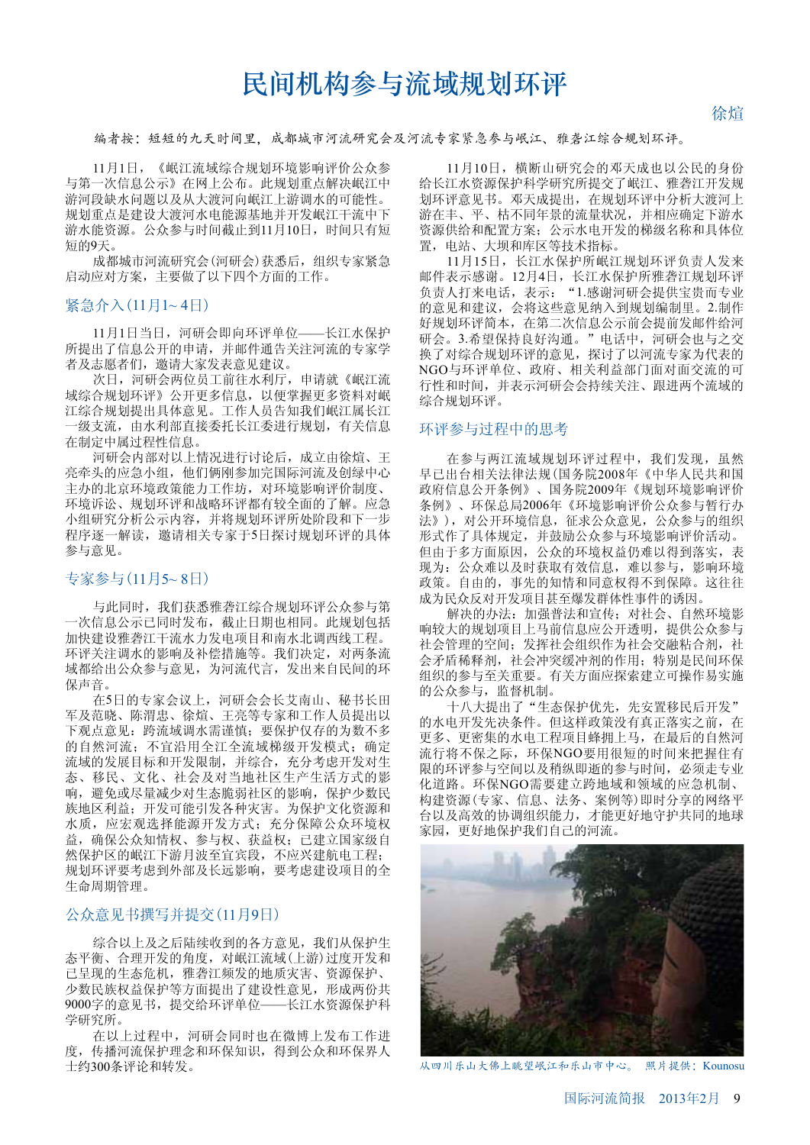# 民间机构参与流域规划环评

徐悰

编者按:短短的九天时间里,成都城市河流研究会及河流专家紧急参与岷江、雅砻江综合规划环评。

11月1日, 《岷江流域综合规划环境影响评价公众参 与第一次信息公示》在网上公布。此规划重点解决岷江中 游河段缺水问题以及从大渡河向岷江上游调水的可能性。 规划重点是建设大渡河水电能源基地并开发岷江干流中下 游水能资源。公众参与时间截止到11月10日, 时间只有短 短的9天。

成都城市河流研究会(河研会)获悉后,组织专家紧急 启动应对方案, 主要做了以下四个方面的工作。

# 紧急介入(11月1~4日)

11月1日当日, 河研会即向环评单位——长江水保护 所提出了信息公开的申请,并邮件通告关注河流的专家学 者及志愿者们, 邀请大家发表意见建议。

次日, 河研会两位员工前往水利厅, 申请就《岷江流 域综合规划环评》公开更多信息,以便掌握更多资料对岷 江综合规划提出具体意见。工作人员告知我们岷江属长江 ·级支流, 由水利部直接委托长江委进行规划, 有关信息 在制定中属过程性信息。

河研会内部对以上情况进行讨论后, 成立由徐煊、王 亮牵头的应急小组, 他们俩刚参加完国际河流及创绿中心 主办的北京环境政策能力工作坊, 对环境影响评价制度、 环境诉讼、规划环评和战略环评都有较全面的了解。应急 小组研究分析公示内容, 并将规划环评所处阶段和下一步 程序诼一解读, 激请相关专家于5日探讨规划环评的具体 参与意见。

# 专家参与(11月5~8日)

与此同时,我们获悉雅砻江综合规划环评公众参与第 一次信息公示已同时发布, 截止日期也相同。此规划包括 加快建设雅砻江干流水力发电项目和南水北调西线工程。 环评关注调水的影响及补偿措施等。我们决定, 对两条流 域都给出公众参与意见,为河流代言,发出来自民间的环 保声音。

在5日的专家会议上, 河研会会长艾南山、秘书长田 军及范晓、陈渭忠、徐煊、王亮等专家和工作人员提出以 下观点意见: 跨流域调水需谨慎; 要保护仅存的为数不多 的自然河流; 不宜沿用全江全流域梯级开发模式; 确定 流域的发展目标和开发限制,并综合,充分考虑开发对生 态、移民、文化、社会及对当地社区生产生活方式的影 响, 避免或尽量减少对生态脆弱社区的影响, 保护少数民 族地区利益; 开发可能引发各种灾害。为保护文化资源和 水质, 应宏观选择能源开发方式; 充分保障公众环境权 益, 确保公众知情权、参与权、获益权; 已建立国家级自 然保护区的岷江下游月波至宜宾段,不应兴建航电工程; 规划环评要考虑到外部及长远影响, 要考虑建设项目的全 生命周期管理。

# 公众意见书撰写并提交(11月9日)

综合以上及之后陆续收到的各方意见, 我们从保护生 态平衡、合理开发的角度, 对岷江流域(上游)过度开发和 已呈现的生态危机, 雅砻江频发的地质灾害、资源保护、 少数民族权益保护等方面提出了建设性意见,形成两份共 9000字的意见书, 提交给环评单位——长江水资源保护科 学研究所。

在以上过程中, 河研会同时也在微博上发布工作讲 度, 传播河流保护理念和环保知识, 得到公众和环保界人 士约300条评论和转发。

11月10日, 横断山研究会的邓天成也以公民的身份 给长江水资源保护科学研究所提交了岷江、雅砻江开发规 划环评意见书。邓天成提出, 在规划环评中分析大渡河上 游在丰、平、枯不同年景的流量状况,并相应确定下游水 资源供给和配置方案; 公示水电开发的梯级名称和具体位 置, 电站、大坝和库区等技术指标。

11月15日,长江水保护所岷江规划环评负责人发来 邮件表示感谢。12月4日,长江水保护所雅砻江规划环评 负责人打来电话,表示: "1.感谢河研会提供宝贵而专业 的意见和建议, 会将这些意见纳入到规划编制里。2.制作 好规划环评简本, 在第二次信息公示前会提前发邮件给河 研会。3.希望保持良好沟通。"电话中, 河研会也与之交 换了对综合规划环评的意见, 探讨了以河流专家为代表的 NGO与环评单位、政府、相关利益部门面对面交流的可 行性和时间, 并表示河研会会持续关注、跟进两个流域的 综合规划环评。

## 环评参与过程中的思考

在参与两江流域规划环评过程中, 我们发现, 虽然 早已出台相关法律法规(国务院2008年《中华人民共和国 政府信息公开条例》、国务院2009年《规划环境影响评价 条例》、环保总局2006年《环境影响评价公众参与暂行办 法》), 对公开环境信息, 征求公众意见, 公众参与的组织 形式作了具体规定,并鼓励公众参与环境影响评价活动。 但由于多方面原因, 公众的环境权益仍难以得到落实, 表 现为: 公众难以及时获取有效信息, 难以参与, 影响环境 政策。自由的, 事先的知情和同意权得不到保障。这往往 成为民众反对开发项目甚至爆发群体性事件的诱因。

解决的办法: 加强普法和宣传; 对社会、自然环境影 响较大的规划项目上马前信息应公开透明, 提供公众参与 社会管理的空间; 发挥社会组织作为社会交融粘合剂, 社 会矛盾稀释剂, 社会冲突缓冲剂的作用; 特别是民间环保 组织的参与至关重要。有关方面应探索建立可操作易实施 的公众参与, 监督机制。

十八大提出了"生态保护优先,先安置移民后开发" 的水电开发先决条件。但这样政策没有真正落实之前, 在 更多、更密集的水电工程项目蜂拥上马, 在最后的自然河 流行将不保之际,环保NGO要用很短的时间来把握住有 限的环评参与空间以及稍纵即逝的参与时间, 必须走专业 化道路。环保NGO需要建立跨地域和领域的应急机制、 构建资源(专家、信息、法务、案例等)即时分享的网络平 台以及高效的协调组织能力,才能更好地守护共同的地球 家园,更好地保护我们自己的河流。



从四川乐山大佛上眺望岷江和乐山市中心。 照片提供:Kounosu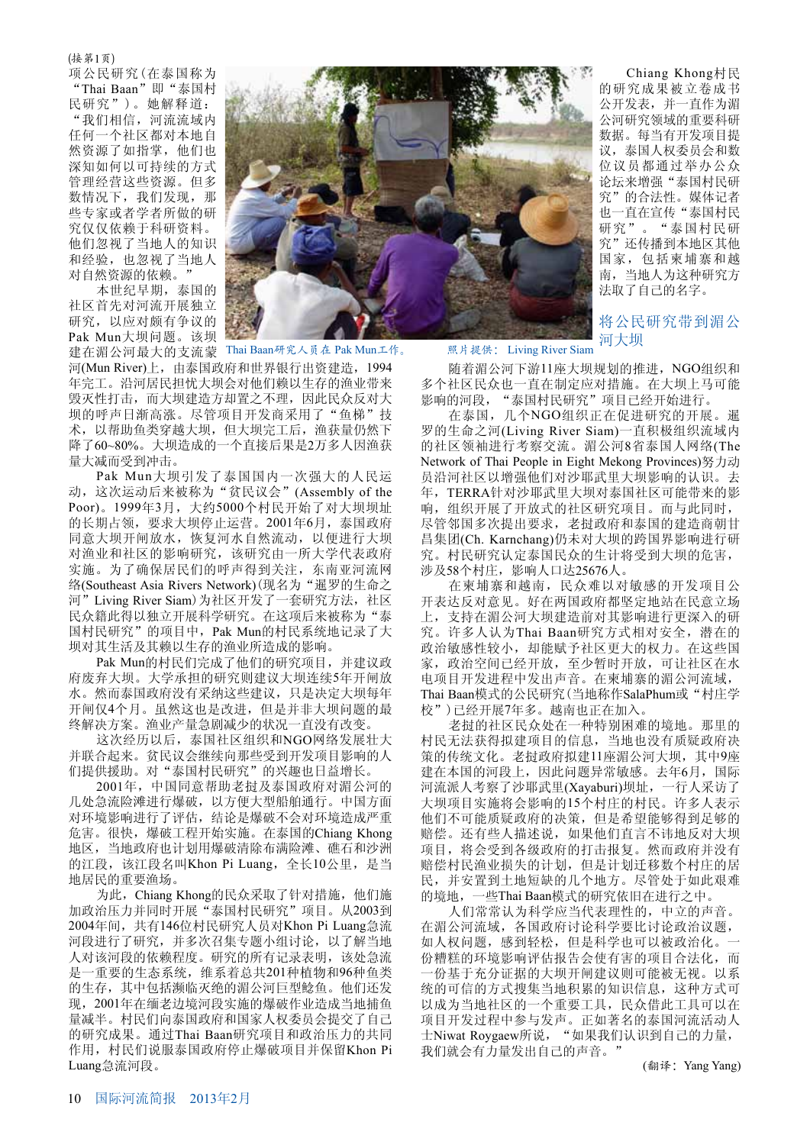### (接第1页)

项公民研究(在泰国称为 "Thai Baan"即"泰国村 民研究")。她解释道: "我们相信,河流流域内 任何一个社区都对本地自 然资源了如指掌, 他们也 深知如何以可持续的方式 管理经营这些资源。但多 数情况下, 我们发现, 那 些专家或者学者所做的研 究仅仅依赖于科研资料。 他们忽视了当地人的知识 和经验, 也忽视了当地人 对自然资源的依赖。"

本世纪早期, 泰国的 社区首先对河流开展独立 研究, 以应对颇有争议的 Pak Mun大坝问题。该坝



建在湄公河最大的支流蒙 Thai Baan研究人员在 Pak Mun工作。 照片提供:Living River Siam

河(Mun River)上, 由泰国政府和世界银行出资建造, 1994 年完工。沿河居民担忧大坝会对他们赖以生存的渔业带来 毁灭性打击, 而大坝建造方却置之不理, 因此民众反对大 坝的呼声日渐高涨。尽管项目开发商采用了"鱼梯"技 术, 以帮助鱼类穿越大坝, 但大坝完工后, 渔获量仍然下 降了60~80%。大坝造成的一个直接后果是2万多人因渔获 量大减而受到冲击。

Pak Mun大坝引发了泰国国内一次强大的人民运 动, 这次运动后来被称为"贫民议会"(Assembly of the Poor)。1999年3月, 大约5000个村民开始了对大坝坝址 的长期占领, 要求大坝停止运营。2001年6月, 泰国政府 同意大坝开闸放水, 恢复河水自然流动, 以便进行大坝 对渔业和社区的影响研究,该研究由一所大学代表政府 实施。为了确保居民们的呼声得到关注, 东南亚河流网 络(Southeast Asia Rivers Network)(现名为"暹罗的生命之 河" Living River Siam) 为社区开发了一套研究方法, 社区 民众籍此得以独立开展科学研究。在这项后来被称为"泰 国村民研究"的项目中, Pak Mun的村民系统地记录了大 坝对其生活及其赖以生存的渔业所造成的影响。

Pak Mun的村民们完成了他们的研究项目,并建议政 府废弃大坝。大学承担的研究则建议大坝连续5年开闸放 水。然而泰国政府没有采纳这些建议,只是决定大坝每年 开闸仅4个月。虽然这也是改进,但是并非大坝问题的最 终解决方案。渔业产量急剧减少的状况一直没有改变。

这次经历以后, 泰国社区组织和NGO网络发展壮大 并联合起来。贫民议会继续向那些受到开发项目影响的人 们提供援助。对"泰国村民研究"的兴趣也日益增长。

2001年, 中国同意帮助老挝及泰国政府对湄公河的 几处急流险滩进行爆破, 以方便大型船舶通行。中国方面 对环境影响进行了评估,结论是爆破不会对环境造成严重 危害。很快, 爆破工程开始实施。在泰国的Chiang Khong 地区, 当地政府也计划用爆破清除布满险滩、礁石和沙洲 的江段, 该江段名叫Khon Pi Luang, 全长10公里, 是当 地居民的重要渔场。

为此, Chiang Khong的民众采取了针对措施, 他们施 加政治压力并同时开展"泰国村民研究"项目。从2003到 2004年间, 共有146位村民研究人员对Khon Pi Luang急流 河段进行了研究,并多次召集专题小组讨论,以了解当地 人对该河段的依赖程度。研究的所有记录表明,该处急流 是一重要的生态系统, 维系着总共201种植物和96种鱼类 的生存, 其中包括濒临灭绝的湄公河巨型鲶鱼。他们还发 现, 2001年在缅老边境河段实施的爆破作业造成当地捕鱼 量减半。村民们向泰国政府和国家人权委员会提交了自己 的研究成果。通过Thai Baan研究项目和政治压力的共同 作用, 村民们说服泰国政府停止爆破项目并保留Khon Pi Luang急流河段。

Chiang Khong村民 的研究成果被立卷成书 公开发表,并一直作为湄 公河研究领域的重要科研 数据。每当有开发项目提 议, 泰国人权委员会和数 位议员都通过举办公众 论坛来增强"泰国村民研 究"的合法性。媒体记者 也一直在宣传"泰国村民 研究"。"泰国村民研 究"还传播到本地区其他 国家,包括柬埔寨和越 南, 当地人为这种研究方 法取了自己的名字。

将公民研究带到湄公 河大坝

随着湄公河下游11座大坝规划的推进, NGO组织和 多个社区民众也一直在制定应对措施。在大坝上马可能 影响的河段, "泰国村民研究"项目已经开始进行。

在泰国, 几个NGO组织正在促进研究的开展。暹 罗的生命之河(Living River Siam)一直积极组织流域内 的社区领袖进行考察交流。湄公河8省泰国人网络(The Network of Thai People in Eight Mekong Provinces)努力动 员沿河社区以增强他们对沙耶武里大坝影响的认识。去 年, TERRA针对沙耶武里大坝对泰国社区可能带来的影 响,组织开展了开放式的社区研究项目。而与此同时, 尽管邻国多次提出要求,老挝政府和泰国的建造商朝甘 昌集团(Ch. Karnchang)仍未对大坝的跨国界影响进行研 究。村民研究认定泰国民众的生计将受到大坝的危害, 涉及58个村庄,影响人口达25676人。

在柬埔寨和越南, 民众难以对敏感的开发项目公 开表达反对意见。好在两国政府都坚定地站在民意立场 上,支持在湄公河大坝建造前对其影响进行更深入的研 究。许多人认为Thai Baan研究方式相对安全, 潜在的 政治敏感性较小, 却能赋予社区更大的权力。在这些国 家, 政治空间已经开放, 至少暂时开放, 可让社区在水 电项目开发进程中发出声音。在柬埔寨的湄公河流域, Thai Baan模式的公民研究(当地称作SalaPhum或"村庄学 校")已经开展7年多。越南也正在加入。

老挝的社区民众处在一种特别困难的境地。那里的 村民无法获得拟建项目的信息, 当地也没有质疑政府决 策的传统文化。老挝政府拟建11座湄公河大坝,其中9座 建在本国的河段上,因此问题异常敏感。去年6月,国际 河流派人考察了沙耶武里(Xayaburi)坝址, 一行人采访了 大坝项目实施将会影响的15个村庄的村民。许多人表示 他们不可能质疑政府的决策,但是希望能够得到足够的 赔偿。还有些人描述说, 如果他们直言不讳地反对大坝 项目, 将会受到各级政府的打击报复。然而政府并没有 赔偿村民渔业损失的计划,但是计划迁移数个村庄的居 民, 并安置到土地短缺的几个地方。尽管处于如此艰难 的境地, 一些Thai Baan模式的研究依旧在进行之中。

人们常常认为科学应当代表理性的,中立的声音。 在湄公河流域, 各国政府讨论科学要比讨论政治议题, 如人权问题, 感到轻松, 但是科学也可以被政治化。 份糟糕的环境影响评估报告会使有害的项目合法化,而 份基于充分证据的大坝开闸建议则可能被无视。以系 统的可信的方式搜集当地积累的知识信息,这种方式可 以成为当地社区的一个重要工具,民众借此工具可以在 项目开发过程中参与发声。正如著名的泰国河流活动人 士Niwat Roygaew所说, "如果我们认识到自己的力量, 我们就会有力量发出自己的声音。"

(翻译: Yang Yang)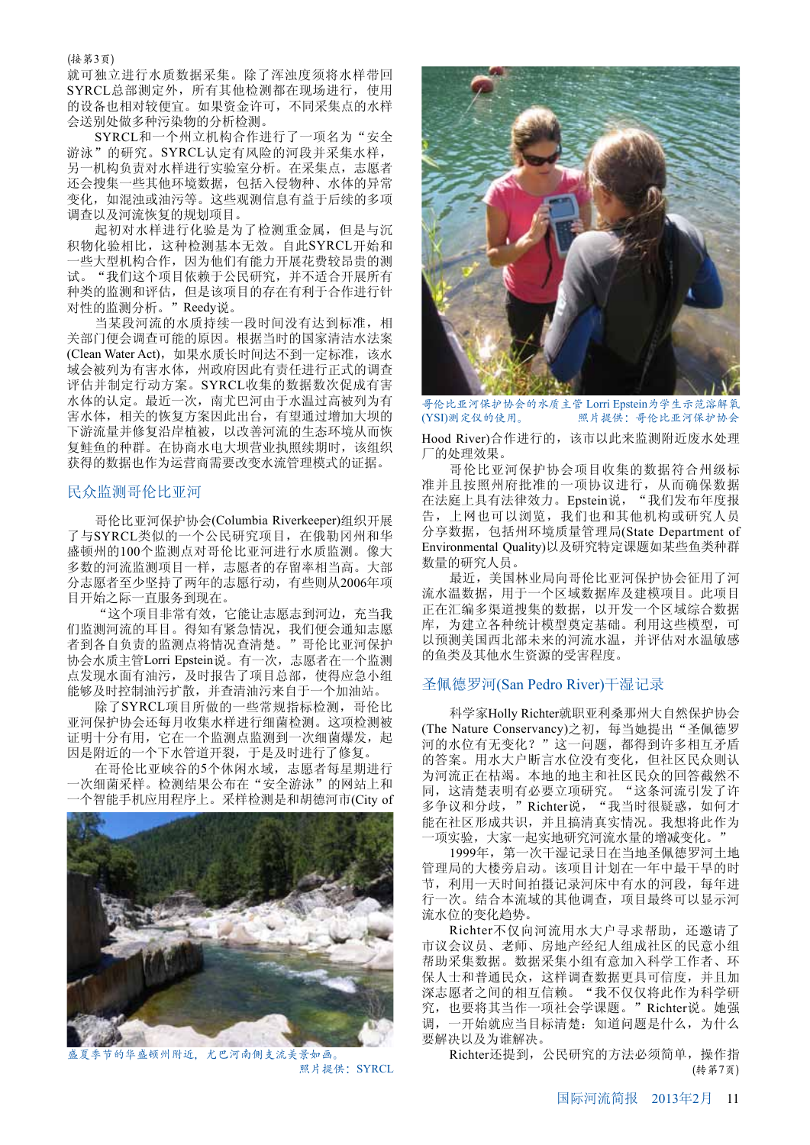### (接第3页)

就可独立讲行水质数据采集。除了浑浊度须将水样带回 SYRCL总部测定外, 所有其他检测都在现场进行, 使用 的设备也相对较便宜。如果资金许可, 不同采集点的水样 会送别处做多种污染物的分析检测。

SYRCL和一个州立机构合作进行了一项名为"安全 游泳"的研究。SYRCL认定有风险的河段并采集水样, 另一机构负责对水样进行实验室分析。在采集点, 志愿者 还会搜集一些其他环境数据,包括入侵物种、水体的异常 变化,如混浊或油污等。这些观测信息有益于后续的多项 调查以及河流恢复的规划项目。

起初对水样进行化验是为了检测重金属, 但是与沉 积物化验相比, 这种检测基本无效。自此SYRCL开始和 "些大型机构合作,因为他们有能力开展花费较昂贵的测 试。"我们这个项目依赖于公民研究,并不适合开展所有 种类的监测和评估,但是该项目的存在有利于合作进行针 对性的监测分析。"Reedy说。

当某段河流的水质持续一段时间没有达到标准, 相 关部门便会调查可能的原因。根据当时的国家清洁水法案 (Clean Water Act), 如果水质长时间达不到一定标准, 该水 域会被列为有害水体, 州政府因此有责任进行正式的调查 评估并制定行动方案。SYRCL收集的数据数次促成有害 水体的认定。最近一次, 南尤巴河由于水温过高被列为有 害水体, 相关的恢复方案因此出台, 有望通过增加大坝的 下游流量并修复沿岸植被,以改善河流的生态环境从而恢 复鲑鱼的种群。在协商水电大坝营业执照续期时,该组织 获得的数据也作为运营商需要改变水流管理模式的证据。

### 民众监测哥伦比亚河

哥伦比亚河保护协会(Columbia Riverkeeper)组织开展 了与SYRCL类似的一个公民研究项目, 在俄勒冈州和华 盛顿州的100个监测点对哥伦比亚河进行水质监测。像大 多数的河流监测项目一样,志愿者的存留率相当高。大部 分志愿者至少坚持了两年的志愿行动, 有些则从2006年项 目开始之际一直服务到现在。

"这个项目非常有效, 它能让志愿志到河边, 充当我 们监测河流的耳目。得知有紧急情况, 我们便会通知志愿 者到各自负责的监测点将情况查清楚。"哥伦比亚河保护 协会水质主管Lorri Epstein说。有一次,志愿者在一个监测 点发现水面有油污, 及时报告了项目总部, 使得应急小组 能够及时控制油污扩散,并查清油污来自于一个加油站。

除了SYRCL项目所做的一些常规指标检测, 哥伦比 亚河保护协会还每月收集水样进行细菌检测。这项检测被 证明十分有用, 它在一个监测点监测到一次细菌爆发, 起 因是附近的一个下水管道开裂,于是及时进行了修复。

在哥伦比亚峡谷的5个休闲水域,志愿者每星期进行 次细菌采样。检测结果公布在"安全游泳"的网站上和 个智能手机应用程序上。采样检测是和胡德河市(City of



夏季节的华盛顿州附近,尤巴河南侧支流美景如画。 Richter还提到,公民研究的方法必须简单,操作指 照片提供:SYRCL



哥伦比亚河保护协会的水质主管 Lorri Epstein为学生示范溶解氧<br>(YSI)测定仪的使用。 照片提供:哥伦比亚河保护协会 照片提供: 哥伦比亚河保护协会

Hood River)合作进行的, 该市以此来监测附近废水处理 厂的处理效果。

哥伦比亚河保护协会项目收集的数据符合州级标 准并且按照州府批准的一项协议进行, 从而确保数据 在法庭上具有法律效力。Epstein说, "我们发布年度报 告,上网也可以浏览,我们也和其他机构或研究人员 分享数据, 包括州环境质量管理局(State Department of Environmental Quality)以及研究特定课题如某些鱼类种群 数量的研究人员。

最近, 美国林业局向哥伦比亚河保护协会征用了河 流水温数据,用于一个区域数据库及建模项目。此项目 正在汇编多渠道搜集的数据, 以开发一个区域综合数据 库,为建立各种统计模型奠定基础。利用这些模型,可 以预测美国西北部未来的河流水温, 并评估对水温敏感 的鱼类及其他水生资源的受害程度。

## 圣佩德罗河(San Pedro River)干湿记录

科学家Holly Richter就职亚利桑那州大自然保护协会 (The Nature Conservancy)之初, 每当她提出"圣佩德罗 河的水位有无变化?"这一问题,都得到许多相互矛盾 的答案。用水大户断言水位没有变化,但社区民众则认 为河流正在枯竭。本地的地主和社区民众的回答截然不 同, 这清楚表明有必要立项研究。"这条河流引发了许 多争议和分歧,"Richter说,"我当时很疑惑,如何才 能在社区形成共识, 并且搞清真实情况。我想将此作为 ·项实验,大家一起实地研究河流水量的增减变化。

1999年, 第一次干湿记录日在当地圣佩德罗河土地 管理局的大楼旁启动。该项目计划在一年中最干旱的时 节, 利用一天时间拍摄记录河床中有水的河段, 每年进 行一次。结合本流域的其他调查, 项目最终可以显示河 流水位的变化趋势。

Richter不仅向河流用水大户寻求帮助, 还邀请了 市议会议员、老师、房地产经纪人组成社区的民意小组 帮助采集数据。数据采集小组有意加入科学工作者、环 保人士和普通民众,这样调查数据更具可信度,并且加 深志愿者之间的相互信赖。"我不仅仅将此作为科学研 究, 也要将其当作一项社会学课题。"Richter说。她强 调, 一开始就应当目标清楚: 知道问题是什么, 为什么 要解决以及为谁解决。

(转第7页)